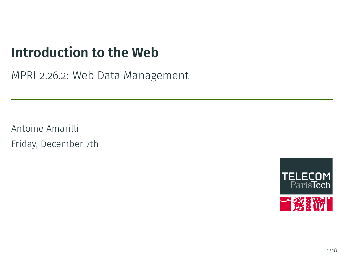# **Introduction to the Web**

MPRI 2.26.2: Web Data Management

Antoine Amarilli Friday, December 7th

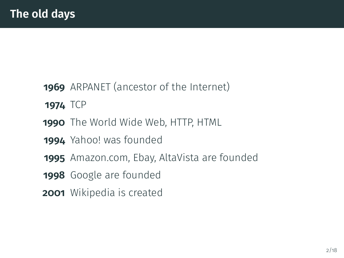- <span id="page-1-0"></span>ARPANET (ancestor of the Internet)
- TCP
- The World Wide Web, HTTP, HTML
- Yahoo! was founded
- Amazon.com, Ebay, AltaVista are founded
- Google are founded
- Wikipedia is created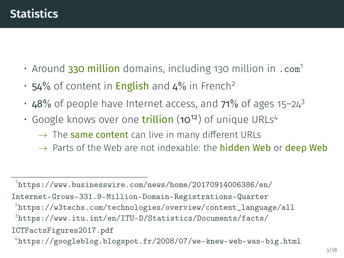- Around 330 million domains, including 130 million in .com<sup>1</sup>
- 54% of content in **English** and 4% in French<sup>2</sup>
- $\cdot$  48% of people have Internet access, and 71% of ages 15-24<sup>3</sup>
- Google knows over one **trillion** (10<sup>12</sup>) of unique URLs<sup>4</sup>
	- $\rightarrow$  The same content can live in many different URLs
	- $\rightarrow$  Parts of the Web are not indexable: the **hidden Web** or **deep Web**

 $^1$ [https://www.businesswire.com/news/home/20170914006386/en/](https://www.businesswire.com/news/home/20170914006386/en/Internet-Grows-331.9-Million-Domain-Registrations-Quarter) [Internet-Grows-331.9-Million-Domain-Registrations-Quarter](https://www.businesswire.com/news/home/20170914006386/en/Internet-Grows-331.9-Million-Domain-Registrations-Quarter) 2 [https://w3techs.com/technologies/overview/content\\_language/all](https://w3techs.com/technologies/overview/content_language/all) 3 [https://www.itu.int/en/ITU-D/Statistics/Documents/facts/](https://www.itu.int/en/ITU-D/Statistics/Documents/facts/ICTFactsFigures2017.pdf) [ICTFactsFigures2017.pdf](https://www.itu.int/en/ITU-D/Statistics/Documents/facts/ICTFactsFigures2017.pdf)  $^4$ <https://googleblog.blogspot.fr/2008/07/we-knew-web-was-big.html>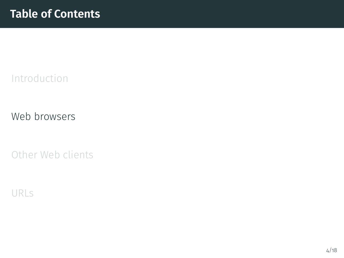<span id="page-3-0"></span>[Introduction](#page-1-0)

[Web browsers](#page-3-0)

[Other Web clients](#page-21-0)

[URLs](#page-24-0)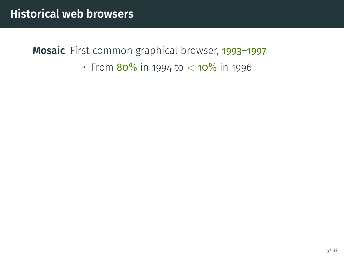• From  $80\%$  in 1994 to  $<$  10% in 1996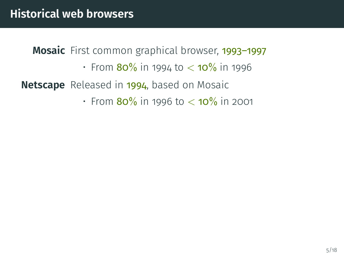• From  $80\%$  in 1994 to  $<$  10 $\%$  in 1996

**Netscape** Released in 1994, based on Mosaic

• From  $80\%$  in 1996 to  $<$  10 $\%$  in 2001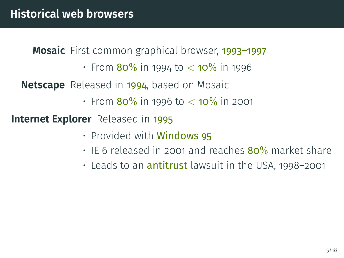• From  $80\%$  in 1994 to  $<$  10 $\%$  in 1996

**Netscape** Released in 1994, based on Mosaic

• From  $80\%$  in 1996 to  $<$  10 $\%$  in 2001

**Internet Explorer** Released in 1995

- Provided with Windows 95
- IE 6 released in 2001 and reaches  $80\%$  market share
- $\cdot$  Leads to an  $\operatorname{antitrust}$  lawsuit in the USA, 1998–2001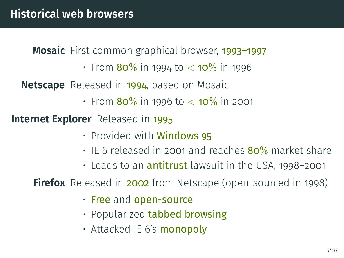• From  $80\%$  in 1994 to  $<$  10 $\%$  in 1996

**Netscape** Released in 1994, based on Mosaic

• From  $80\%$  in 1996 to  $<$  10 $\%$  in 2001

**Internet Explorer** Released in 1995

- Provided with **Windows 95**
- IE 6 released in 2001 and reaches  $80\%$  market share
- $\cdot$  Leads to an  $\operatorname{antitrust}$  lawsuit in the USA, 1998–2001

**Firefox** Released in **2002** from Netscape (open-sourced in 1998)

- Free and open-source
- Popularized **tabbed browsing**
- Attacked IE 6's monopoly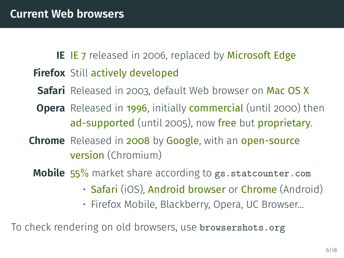### **IE** IE<sub>7</sub> released in 2006, replaced by Microsoft Edge **Firefox** Still actively developed

- **Safari** Released in 2003, default Web browser on Mac OS X
- **Opera** Released in 1996, initially **commercial** (until 2000) then ad-supported (until 2005), now free but proprietary.
- **Chrome** Released in 2008 by Google, with an open-source version (Chromium)
	- **Mobile** 55% market share according to <gs.statcounter.com>
		- **Safari** (iOS), **Android browser** or **Chrome** (Android)
		- Firefox Mobile, Blackberry, Opera, UC Browser...

To check rendering on old browsers, use <browsershots.org>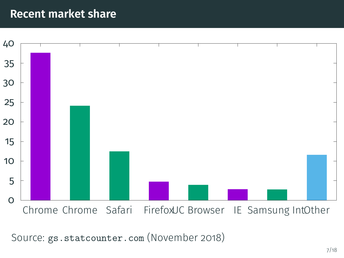#### **Recent market share**



Source: <gs.statcounter.com> (November 2018)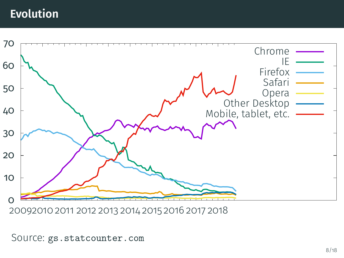## **Evolution**



20092010 2011 2012 2013 2014 2015 2016 2017 2018

#### Source: <gs.statcounter.com>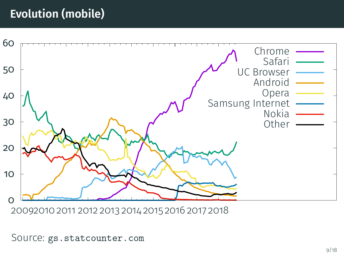## **Evolution (mobile)**



20092010 2011 2012 2013 2014 2015 2016 2017 2018

#### Source: <gs.statcounter.com>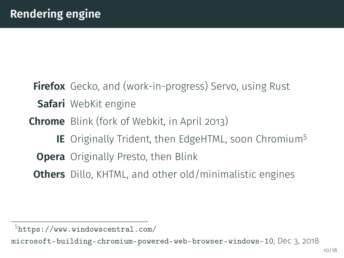**Firefox** Gecko, and (work-in-progress) Servo, using Rust **Safari** WebKit engine **Chrome** Blink (fork of Webkit, in April 2013) **IE** Originally Trident, then EdgeHTML, soon Chromium<sup>5</sup> **Opera** Originally Presto, then Blink **Others** Dillo, KHTML, and other old/minimalistic engines

<sup>5</sup> [https://www.windowscentral.com/](https://www.windowscentral.com/microsoft-building-chromium-powered-web-browser-windows-10)

[microsoft-building-chromium-powered-web-browser-windows-10](https://www.windowscentral.com/microsoft-building-chromium-powered-web-browser-windows-10), Dec 3, 2018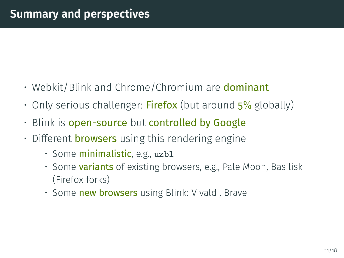- Webkit/Blink and Chrome/Chromium are **dominant**
- Only serious challenger: **Firefox** (but around  $5\%$  globally)
- Blink is open-source but controlled by Google
- $\cdot$  Different **browsers** using this rendering engine
	- Some minimalistic, e.g., uzb1
	- Some **variants** of existing browsers, e.g., Pale Moon, Basilisk (Firefox forks)
	- Some new browsers using Blink: Vivaldi, Brave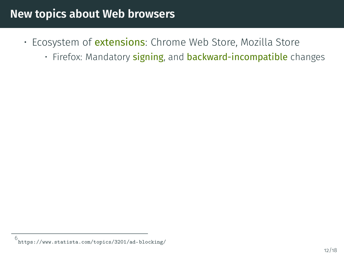- Ecosystem of *extensions*: Chrome Web Store, Mozilla Store
	- Firefox: Mandatory **signing**, and **backward-incompatible** changes

<sup>6</sup> <https://www.statista.com/topics/3201/ad-blocking/>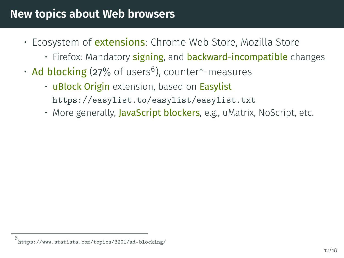- Ecosystem of *extensions*: Chrome Web Store, Mozilla Store
	- Firefox: Mandatory **signing**, and **backward-incompatible** changes
- Ad blocking (27% of users<sup>6</sup>), counter\*-measures
	- uBlock Origin extension, based on Easylist <https://easylist.to/easylist/easylist.txt>
	- More generally, JavaScript blockers, e.g., uMatrix, NoScript, etc.

<sup>6</sup> w.statista.com/topics/3201/ad-blocking/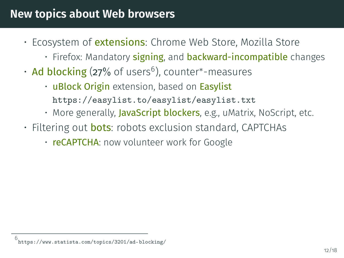- Ecosystem of *extensions*: Chrome Web Store, Mozilla Store
	- Firefox: Mandatory **signing**, and **backward-incompatible** changes
- Ad blocking (27% of users<sup>6</sup>), counter\*-measures
	- uBlock Origin extension, based on Easylist
		- <https://easylist.to/easylist/easylist.txt>
	- More generally, JavaScript blockers, e.g., uMatrix, NoScript, etc.
- Filtering out **bots**: robots exclusion standard, CAPTCHAs
	- reCAPTCHA: now volunteer work for Google

<sup>6</sup> .statista.com/topics/3201/ad-blocking/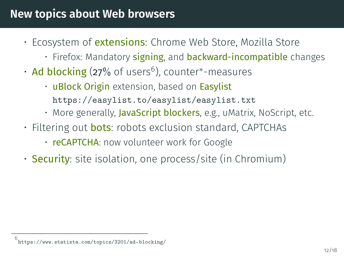- Ecosystem of *extensions*: Chrome Web Store, Mozilla Store
	- Firefox: Mandatory **signing**, and **backward-incompatible** changes
- Ad blocking (27% of users<sup>6</sup>), counter\*-measures
	- uBlock Origin extension, based on Easylist
		- <https://easylist.to/easylist/easylist.txt>
	- More generally, JavaScript blockers, e.g., uMatrix, NoScript, etc.
- Filtering out **bots**: robots exclusion standard, CAPTCHAs
	- reCAPTCHA: now volunteer work for Google
- **Security**: site isolation, one process/site (in Chromium)

<sup>6</sup> .statista.com/topics/3201/ad-blocking/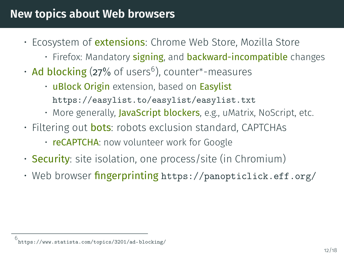- Ecosystem of *extensions*: Chrome Web Store, Mozilla Store
	- Firefox: Mandatory **signing**, and **backward-incompatible** changes
- Ad blocking (27% of users<sup>6</sup>), counter\*-measures
	- uBlock Origin extension, based on Easylist
		- <https://easylist.to/easylist/easylist.txt>
	- More generally, JavaScript blockers, e.g., uMatrix, NoScript, etc.
- Filtering out **bots**: robots exclusion standard, CAPTCHAs
	- reCAPTCHA: now volunteer work for Google
- **Security**: site isolation, one process/site (in Chromium)
- Web browser fingerprinting <https://panopticlick.eff.org/>

<sup>6</sup> .statista.com/topics/3201/ad-blocking/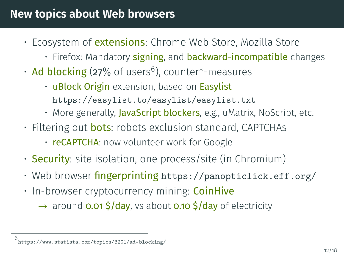- Ecosystem of *extensions*: Chrome Web Store, Mozilla Store
	- Firefox: Mandatory **signing**, and **backward-incompatible** changes
- Ad blocking (27% of users<sup>6</sup>), counter\*-measures
	- uBlock Origin extension, based on Easylist
		- <https://easylist.to/easylist/easylist.txt>
	- More generally, JavaScript blockers, e.g., uMatrix, NoScript, etc.
- Filtering out **bots**: robots exclusion standard, CAPTCHAs
	- reCAPTCHA: now volunteer work for Google
- **Security**: site isolation, one process/site (in Chromium)
- Web browser  $f$ **ingerprinting** <https://panopticlick.eff.org/>
- In-browser cryptocurrency mining: **CoinHive** 
	- $\rightarrow$  around **0.01 \$/day**, vs about **0.10 \$/day** of electricity

<sup>6</sup> .statista.com/topics/3201/ad-blocking/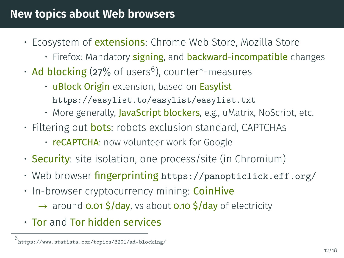- Ecosystem of *extensions*: Chrome Web Store, Mozilla Store
	- Firefox: Mandatory **signing**, and **backward-incompatible** changes
- Ad blocking (27% of users<sup>6</sup>), counter\*-measures
	- uBlock Origin extension, based on Easylist
		- <https://easylist.to/easylist/easylist.txt>
	- More generally, JavaScript blockers, e.g., uMatrix, NoScript, etc.
- Filtering out **bots**: robots exclusion standard, CAPTCHAs
	- reCAPTCHA: now volunteer work for Google
- **Security**: site isolation, one process/site (in Chromium)
- Web browser  $f$ **ingerprinting** <https://panopticlick.eff.org/>
- In-browser cryptocurrency mining: **CoinHive** 
	- $\rightarrow$  around **0.01 \$/day**, vs about **0.10 \$/day** of electricity
- Tor and Tor hidden services

<sup>6</sup> .statista.com/topics/3201/ad-blocking/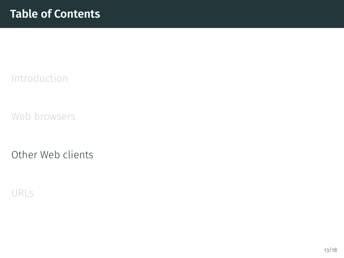<span id="page-21-0"></span>[Introduction](#page-1-0)

[Web browsers](#page-3-0)

[Other Web clients](#page-21-0)

[URLs](#page-24-0)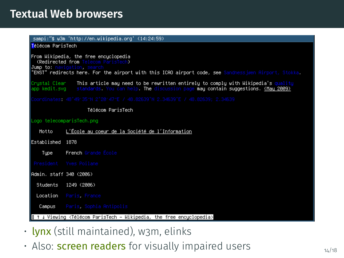#### **Textual Web browsers**

#### sampi:~\$ w3m 'http://en.wikipedia.org' (14:24:59)

<mark>T</mark>élécom ParisTech

#### From Wikipedia, the free encuclopedia

(Redirected from Tel

Jumn to: I

"ENST" redirects here. For the airport with this ICAO airport code, see Sandnessjøen Airport, Stokka.

.<br>Crystal Clear – This article may need to be rewritten entirely to comply with Wikipedia's quality<br>app kedit.svq – standards. You can help. The discussion page may contain suggestions. (May 2009)

Télécom ParisTech

#### Logo telecomparisTech.png

- L'École au coeur de la Société de l'Information Motto
- Established 1878
	- French Grande École Tupe
- 

Admin, staff 340 (2006)

Students 1249 (2006)

Location Paris France

Campus Paris, Sophia Antipolis

1 J Viewing <Télécom ParisTech - Wikipedia, the free encyclopedia>

- lynx (still maintained), w3m, elinks
- Also: **screen readers** for visually impaired users  $14/18$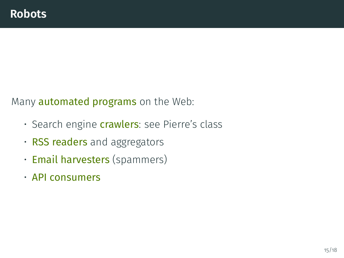Many **automated programs** on the Web:

- Search engine *crawlers*: see Pierre's class
- RSS readers and aggregators
- Email harvesters (spammers)
- API consumers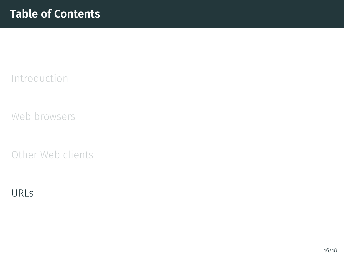<span id="page-24-0"></span>[Introduction](#page-1-0)

[Web browsers](#page-3-0)

[Other Web clients](#page-21-0)

[URLs](#page-24-0)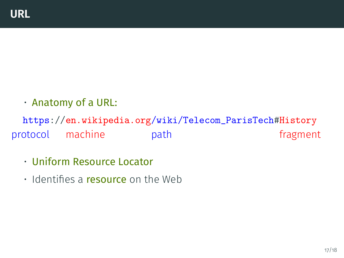• Anatomy of a URL:

https://en.wikipedia.org/wiki/Telecom\_ParisTech#History protocol machine path path fragment

- Uniform Resource Locator
- $\cdot$  Identifies a resource on the Web